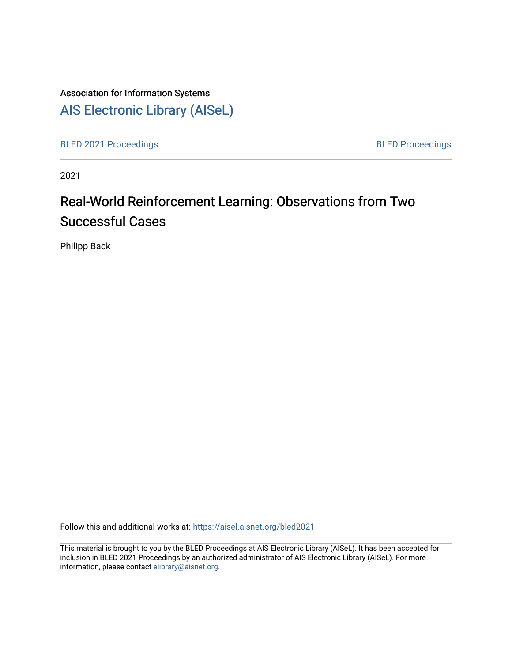# Association for Information Systems [AIS Electronic Library \(AISeL\)](https://aisel.aisnet.org/)

[BLED 2021 Proceedings](https://aisel.aisnet.org/bled2021) **BLED Proceedings** 

2021

# Real-World Reinforcement Learning: Observations from Two Successful Cases

Philipp Back

Follow this and additional works at: [https://aisel.aisnet.org/bled2021](https://aisel.aisnet.org/bled2021?utm_source=aisel.aisnet.org%2Fbled2021%2F45&utm_medium=PDF&utm_campaign=PDFCoverPages) 

This material is brought to you by the BLED Proceedings at AIS Electronic Library (AISeL). It has been accepted for inclusion in BLED 2021 Proceedings by an authorized administrator of AIS Electronic Library (AISeL). For more information, please contact [elibrary@aisnet.org.](mailto:elibrary@aisnet.org%3E)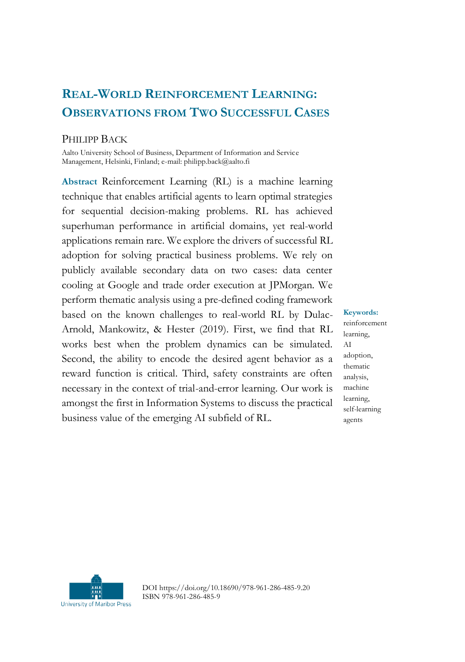# **REAL-WORLD REINFORCEMENT LEARNING: OBSERVATIONS FROM TWO SUCCESSFUL CASES**

#### PHILIPP BACK

Aalto University School of Business, Department of Information and Service Management, Helsinki, Finland; e-mail: philipp.back@aalto.fi

**Abstract** Reinforcement Learning (RL) is a machine learning technique that enables artificial agents to learn optimal strategies for sequential decision-making problems. RL has achieved superhuman performance in artificial domains, yet real-world applications remain rare. We explore the drivers of successful RL adoption for solving practical business problems. We rely on publicly available secondary data on two cases: data center cooling at Google and trade order execution at JPMorgan. We perform thematic analysis using a pre-defined coding framework based on the known challenges to real-world RL by Dulac-Arnold, Mankowitz, & Hester (2019). First, we find that RL works best when the problem dynamics can be simulated. Second, the ability to encode the desired agent behavior as a reward function is critical. Third, safety constraints are often necessary in the context of trial-and-error learning. Our work is amongst the first in Information Systems to discuss the practical business value of the emerging AI subfield of RL.

**Keywords:** reinforcement learning, AI adoption, thematic analysis, machine learning, self-learning agents



DOI https://doi.org/10.18690/978-961-286-485-9.20 ISBN 978-961-286-485-9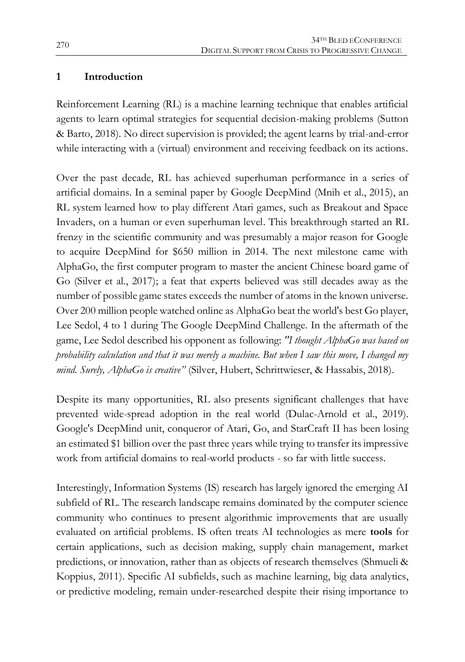#### **1 Introduction**

Reinforcement Learning (RL) is a machine learning technique that enables artificial agents to learn optimal strategies for sequential decision-making problems (Sutton & Barto, 2018). No direct supervision is provided; the agent learns by trial-and-error while interacting with a (virtual) environment and receiving feedback on its actions.

Over the past decade, RL has achieved superhuman performance in a series of artificial domains. In a seminal paper by Google DeepMind (Mnih et al., 2015), an RL system learned how to play different Atari games, such as Breakout and Space Invaders, on a human or even superhuman level. This breakthrough started an RL frenzy in the scientific community and was presumably a major reason for Google to acquire DeepMind for \$650 million in 2014. The next milestone came with AlphaGo, the first computer program to master the ancient Chinese board game of Go (Silver et al., 2017); a feat that experts believed was still decades away as the number of possible game states exceeds the number of atoms in the known universe. Over 200 million people watched online as AlphaGo beat the world's best Go player, Lee Sedol, 4 to 1 during The Google DeepMind Challenge. In the aftermath of the game, Lee Sedol described his opponent as following: *"I thought AlphaGo was based on probability calculation and that it was merely a machine. But when I saw this move, I changed my mind. Surely, AlphaGo is creative"* (Silver, Hubert, Schrittwieser, & Hassabis, 2018).

Despite its many opportunities, RL also presents significant challenges that have prevented wide-spread adoption in the real world (Dulac-Arnold et al., 2019). Google's DeepMind unit, conqueror of Atari, Go, and StarCraft II has been losing an estimated \$1 billion over the past three years while trying to transfer its impressive work from artificial domains to real-world products - so far with little success.

Interestingly, Information Systems (IS) research has largely ignored the emerging AI subfield of RL. The research landscape remains dominated by the computer science community who continues to present algorithmic improvements that are usually evaluated on artificial problems. IS often treats AI technologies as mere **tools** for certain applications, such as decision making, supply chain management, market predictions, or innovation, rather than as objects of research themselves (Shmueli & Koppius, 2011). Specific AI subfields, such as machine learning, big data analytics, or predictive modeling, remain under-researched despite their rising importance to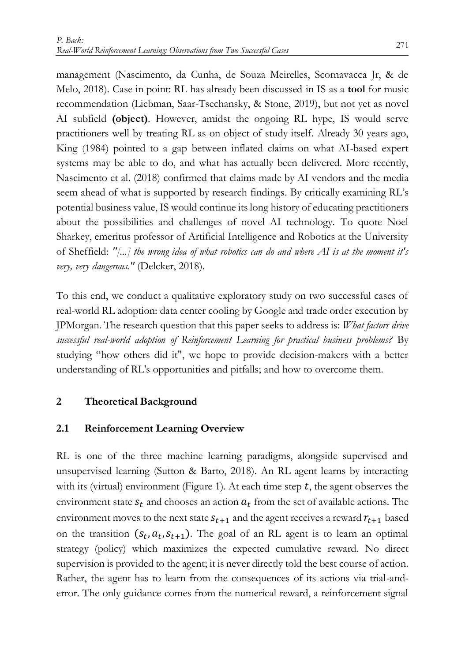management (Nascimento, da Cunha, de Souza Meirelles, Scornavacca Jr, & de Melo, 2018). Case in point: RL has already been discussed in IS as a **tool** for music recommendation (Liebman, Saar-Tsechansky, & Stone, 2019), but not yet as novel AI subfield **(object)**. However, amidst the ongoing RL hype, IS would serve practitioners well by treating RL as on object of study itself. Already 30 years ago, King (1984) pointed to a gap between inflated claims on what AI-based expert systems may be able to do, and what has actually been delivered. More recently, Nascimento et al. (2018) confirmed that claims made by AI vendors and the media seem ahead of what is supported by research findings. By critically examining RL's potential business value, IS would continue its long history of educating practitioners about the possibilities and challenges of novel AI technology. To quote Noel Sharkey, emeritus professor of Artificial Intelligence and Robotics at the University of Sheffield: *"[...] the wrong idea of what robotics can do and where AI is at the moment it's very, very dangerous."* (Delcker, 2018).

To this end, we conduct a qualitative exploratory study on two successful cases of real-world RL adoption: data center cooling by Google and trade order execution by JPMorgan. The research question that this paper seeks to address is: *What factors drive successful real-world adoption of Reinforcement Learning for practical business problems?* By studying "how others did it", we hope to provide decision-makers with a better understanding of RL's opportunities and pitfalls; and how to overcome them.

#### **2 Theoretical Background**

#### **2.1 Reinforcement Learning Overview**

RL is one of the three machine learning paradigms, alongside supervised and unsupervised learning (Sutton & Barto, 2018). An RL agent learns by interacting with its (virtual) environment (Figure 1). At each time step  $t$ , the agent observes the environment state  $s_t$  and chooses an action  $a_t$  from the set of available actions. The environment moves to the next state  $s_{t+1}$  and the agent receives a reward  $r_{t+1}$  based on the transition  $(s_t, a_t, s_{t+1})$ . The goal of an RL agent is to learn an optimal strategy (policy) which maximizes the expected cumulative reward. No direct supervision is provided to the agent; it is never directly told the best course of action. Rather, the agent has to learn from the consequences of its actions via trial-anderror. The only guidance comes from the numerical reward, a reinforcement signal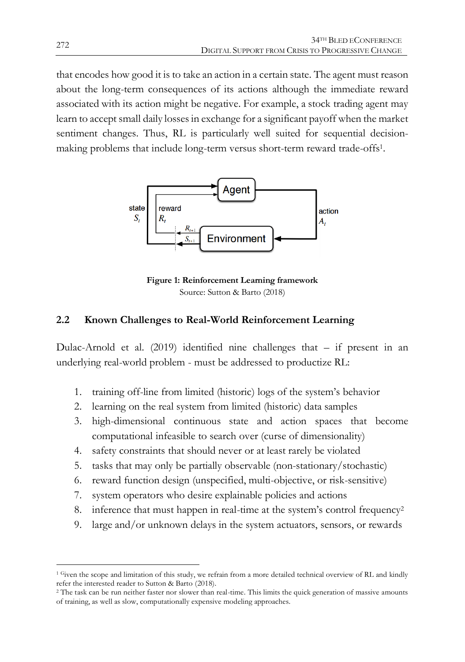that encodes how good it is to take an action in a certain state. The agent must reason about the long-term consequences of its actions although the immediate reward associated with its action might be negative. For example, a stock trading agent may learn to accept small daily losses in exchange for a significant payoff when the market sentiment changes. Thus, RL is particularly well suited for sequential decisionmaking problems that include long-term versus short-term reward trade-offs1.



**Figure 1: Reinforcement Learning framework** Source: Sutton & Barto (2018)

#### **2.2 Known Challenges to Real-World Reinforcement Learning**

Dulac-Arnold et al. (2019) identified nine challenges that – if present in an underlying real-world problem - must be addressed to productize RL:

- 1. training off-line from limited (historic) logs of the system's behavior
- 2. learning on the real system from limited (historic) data samples
- 3. high-dimensional continuous state and action spaces that become computational infeasible to search over (curse of dimensionality)
- 4. safety constraints that should never or at least rarely be violated
- 5. tasks that may only be partially observable (non-stationary/stochastic)
- 6. reward function design (unspecified, multi-objective, or risk-sensitive)
- 7. system operators who desire explainable policies and actions
- 8. inference that must happen in real-time at the system's control frequency<sup>2</sup>
- 9. large and/or unknown delays in the system actuators, sensors, or rewards

 $\overline{a}$ <sup>1</sup> Given the scope and limitation of this study, we refrain from a more detailed technical overview of RL and kindly refer the interested reader to Sutton & Barto (2018).

<sup>2</sup> The task can be run neither faster nor slower than real-time. This limits the quick generation of massive amounts of training, as well as slow, computationally expensive modeling approaches.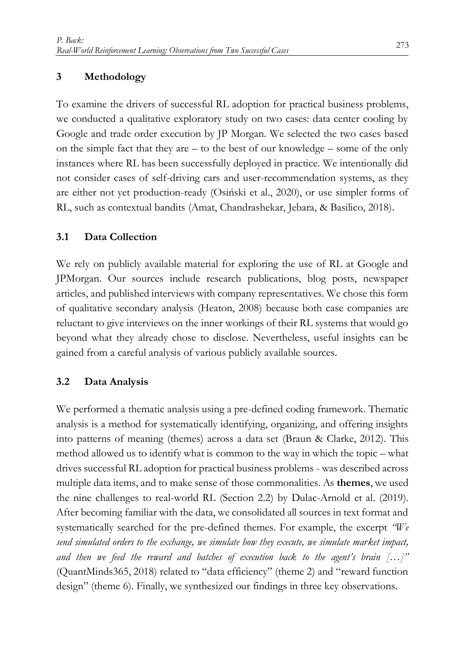#### **3 Methodology**

To examine the drivers of successful RL adoption for practical business problems, we conducted a qualitative exploratory study on two cases: data center cooling by Google and trade order execution by JP Morgan. We selected the two cases based on the simple fact that they are – to the best of our knowledge – some of the only instances where RL has been successfully deployed in practice. We intentionally did not consider cases of self-driving cars and user-recommendation systems, as they are either not yet production-ready (Osiński et al., 2020), or use simpler forms of RL, such as contextual bandits (Amat, Chandrashekar, Jebara, & Basilico, 2018).

#### **3.1 Data Collection**

We rely on publicly available material for exploring the use of RL at Google and JPMorgan. Our sources include research publications, blog posts, newspaper articles, and published interviews with company representatives. We chose this form of qualitative secondary analysis (Heaton, 2008) because both case companies are reluctant to give interviews on the inner workings of their RL systems that would go beyond what they already chose to disclose. Nevertheless, useful insights can be gained from a careful analysis of various publicly available sources.

#### **3.2 Data Analysis**

We performed a thematic analysis using a pre-defined coding framework. Thematic analysis is a method for systematically identifying, organizing, and offering insights into patterns of meaning (themes) across a data set (Braun & Clarke, 2012). This method allowed us to identify what is common to the way in which the topic – what drives successful RL adoption for practical business problems - was described across multiple data items, and to make sense of those commonalities. As **themes**, we used the nine challenges to real-world RL (Section 2.2) by Dulac-Arnold et al. (2019). After becoming familiar with the data, we consolidated all sources in text format and systematically searched for the pre-defined themes. For example, the excerpt *"We send simulated orders to the exchange, we simulate how they execute, we simulate market impact, and then we feed the reward and batches of execution back to the agent's brain […]"* (QuantMinds365, 2018) related to "data efficiency" (theme 2) and "reward function design" (theme 6). Finally, we synthesized our findings in three key observations.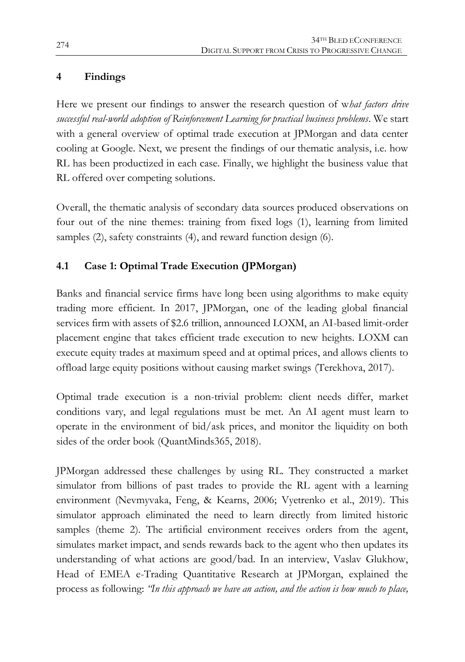# **4 Findings**

Here we present our findings to answer the research question of w*hat factors drive successful real-world adoption of Reinforcement Learning for practical business problems*. We start with a general overview of optimal trade execution at JPMorgan and data center cooling at Google. Next, we present the findings of our thematic analysis, i.e. how RL has been productized in each case. Finally, we highlight the business value that RL offered over competing solutions.

Overall, the thematic analysis of secondary data sources produced observations on four out of the nine themes: training from fixed logs (1), learning from limited samples (2), safety constraints (4), and reward function design (6).

# **4.1 Case 1: Optimal Trade Execution (JPMorgan)**

Banks and financial service firms have long been using algorithms to make equity trading more efficient. In 2017, JPMorgan, one of the leading global financial services firm with assets of \$2.6 trillion, announced LOXM, an AI-based limit-order placement engine that takes efficient trade execution to new heights. LOXM can execute equity trades at maximum speed and at optimal prices, and allows clients to offload large equity positions without causing market swings (Terekhova, 2017).

Optimal trade execution is a non-trivial problem: client needs differ, market conditions vary, and legal regulations must be met. An AI agent must learn to operate in the environment of bid/ask prices, and monitor the liquidity on both sides of the order book (QuantMinds365, 2018).

JPMorgan addressed these challenges by using RL. They constructed a market simulator from billions of past trades to provide the RL agent with a learning environment (Nevmyvaka, Feng, & Kearns, 2006; Vyetrenko et al., 2019). This simulator approach eliminated the need to learn directly from limited historic samples (theme 2). The artificial environment receives orders from the agent, simulates market impact, and sends rewards back to the agent who then updates its understanding of what actions are good/bad. In an interview, Vaslav Glukhow, Head of EMEA e-Trading Quantitative Research at JPMorgan, explained the process as following: *"In this approach we have an action, and the action is how much to place,*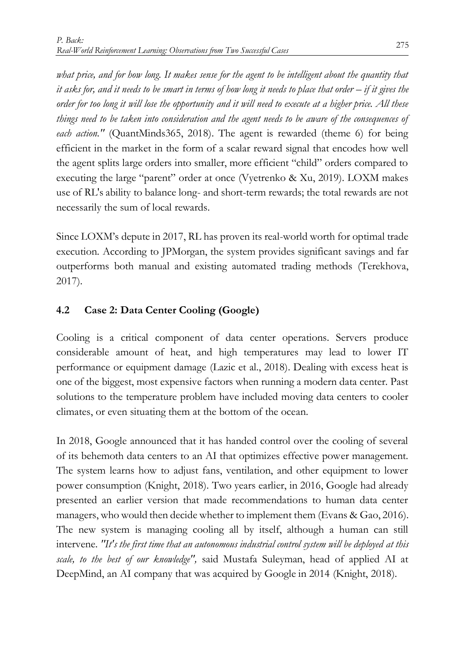*what price, and for how long. It makes sense for the agent to be intelligent about the quantity that it asks for, and it needs to be smart in terms of how long it needs to place that order – if it gives the order for too long it will lose the opportunity and it will need to execute at a higher price. All these things need to be taken into consideration and the agent needs to be aware of the consequences of each action."* (QuantMinds365, 2018). The agent is rewarded (theme 6) for being efficient in the market in the form of a scalar reward signal that encodes how well the agent splits large orders into smaller, more efficient "child" orders compared to executing the large "parent" order at once (Vyetrenko & Xu, 2019). LOXM makes use of RL's ability to balance long- and short-term rewards; the total rewards are not necessarily the sum of local rewards.

Since LOXM's depute in 2017, RL has proven its real-world worth for optimal trade execution. According to JPMorgan, the system provides significant savings and far outperforms both manual and existing automated trading methods (Terekhova, 2017).

# **4.2 Case 2: Data Center Cooling (Google)**

Cooling is a critical component of data center operations. Servers produce considerable amount of heat, and high temperatures may lead to lower IT performance or equipment damage (Lazic et al., 2018). Dealing with excess heat is one of the biggest, most expensive factors when running a modern data center. Past solutions to the temperature problem have included moving data centers to cooler climates, or even situating them at the bottom of the ocean.

In 2018, Google announced that it has handed control over the cooling of several of its behemoth data centers to an AI that optimizes effective power management. The system learns how to adjust fans, ventilation, and other equipment to lower power consumption (Knight, 2018). Two years earlier, in 2016, Google had already presented an earlier version that made recommendations to human data center managers, who would then decide whether to implement them (Evans & Gao, 2016). The new system is managing cooling all by itself, although a human can still intervene. *"It's the first time that an autonomous industrial control system will be deployed at this scale, to the best of our knowledge",* said Mustafa Suleyman, head of applied AI at DeepMind, an AI company that was acquired by Google in 2014 (Knight, 2018).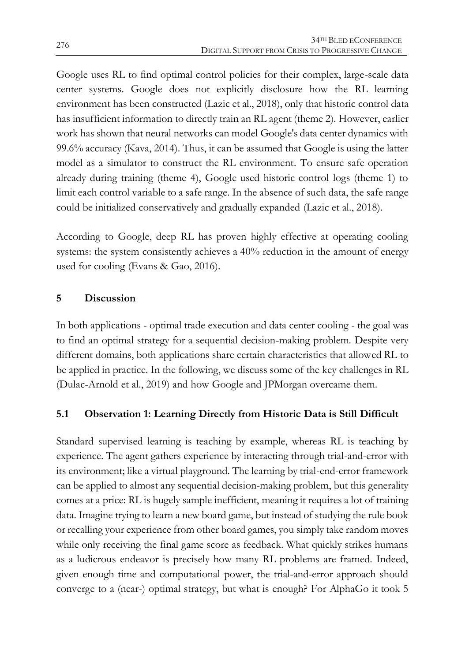Google uses RL to find optimal control policies for their complex, large-scale data center systems. Google does not explicitly disclosure how the RL learning environment has been constructed (Lazic et al., 2018), only that historic control data has insufficient information to directly train an RL agent (theme 2). However, earlier work has shown that neural networks can model Google's data center dynamics with 99.6% accuracy (Kava, 2014). Thus, it can be assumed that Google is using the latter model as a simulator to construct the RL environment. To ensure safe operation already during training (theme 4), Google used historic control logs (theme 1) to limit each control variable to a safe range. In the absence of such data, the safe range could be initialized conservatively and gradually expanded (Lazic et al., 2018).

According to Google, deep RL has proven highly effective at operating cooling systems: the system consistently achieves a 40% reduction in the amount of energy used for cooling (Evans & Gao, 2016).

### **5 Discussion**

In both applications - optimal trade execution and data center cooling - the goal was to find an optimal strategy for a sequential decision-making problem. Despite very different domains, both applications share certain characteristics that allowed RL to be applied in practice. In the following, we discuss some of the key challenges in RL (Dulac-Arnold et al., 2019) and how Google and JPMorgan overcame them.

# **5.1 Observation 1: Learning Directly from Historic Data is Still Difficult**

Standard supervised learning is teaching by example, whereas RL is teaching by experience. The agent gathers experience by interacting through trial-and-error with its environment; like a virtual playground. The learning by trial-end-error framework can be applied to almost any sequential decision-making problem, but this generality comes at a price: RL is hugely sample inefficient, meaning it requires a lot of training data. Imagine trying to learn a new board game, but instead of studying the rule book or recalling your experience from other board games, you simply take random moves while only receiving the final game score as feedback. What quickly strikes humans as a ludicrous endeavor is precisely how many RL problems are framed. Indeed, given enough time and computational power, the trial-and-error approach should converge to a (near-) optimal strategy, but what is enough? For AlphaGo it took 5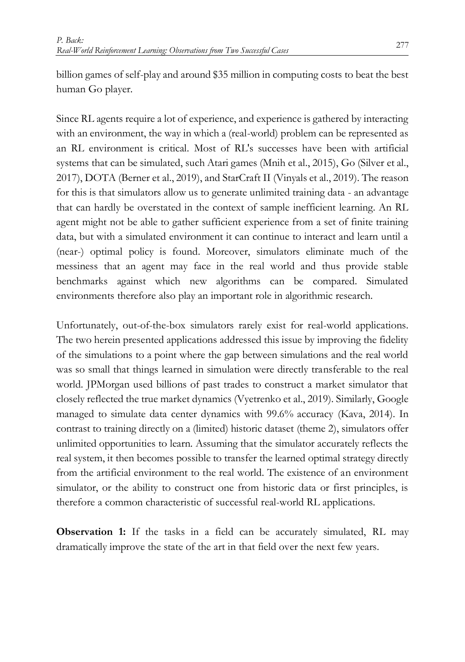billion games of self-play and around \$35 million in computing costs to beat the best human Go player.

Since RL agents require a lot of experience, and experience is gathered by interacting with an environment, the way in which a (real-world) problem can be represented as an RL environment is critical. Most of RL's successes have been with artificial systems that can be simulated, such Atari games (Mnih et al., 2015), Go (Silver et al., 2017), DOTA (Berner et al., 2019), and StarCraft II (Vinyals et al., 2019). The reason for this is that simulators allow us to generate unlimited training data - an advantage that can hardly be overstated in the context of sample inefficient learning. An RL agent might not be able to gather sufficient experience from a set of finite training data, but with a simulated environment it can continue to interact and learn until a (near-) optimal policy is found. Moreover, simulators eliminate much of the messiness that an agent may face in the real world and thus provide stable benchmarks against which new algorithms can be compared. Simulated environments therefore also play an important role in algorithmic research.

Unfortunately, out-of-the-box simulators rarely exist for real-world applications. The two herein presented applications addressed this issue by improving the fidelity of the simulations to a point where the gap between simulations and the real world was so small that things learned in simulation were directly transferable to the real world. JPMorgan used billions of past trades to construct a market simulator that closely reflected the true market dynamics (Vyetrenko et al., 2019). Similarly, Google managed to simulate data center dynamics with 99.6% accuracy (Kava, 2014). In contrast to training directly on a (limited) historic dataset (theme 2), simulators offer unlimited opportunities to learn. Assuming that the simulator accurately reflects the real system, it then becomes possible to transfer the learned optimal strategy directly from the artificial environment to the real world. The existence of an environment simulator, or the ability to construct one from historic data or first principles, is therefore a common characteristic of successful real-world RL applications.

**Observation 1:** If the tasks in a field can be accurately simulated, RL may dramatically improve the state of the art in that field over the next few years.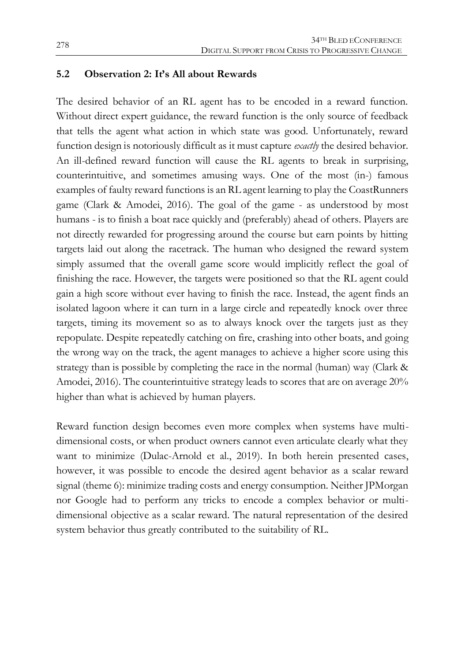#### **5.2 Observation 2: It's All about Rewards**

The desired behavior of an RL agent has to be encoded in a reward function. Without direct expert guidance, the reward function is the only source of feedback that tells the agent what action in which state was good. Unfortunately, reward function design is notoriously difficult as it must capture *exactly* the desired behavior. An ill-defined reward function will cause the RL agents to break in surprising, counterintuitive, and sometimes amusing ways. One of the most (in-) famous examples of faulty reward functions is an RL agent learning to play the CoastRunners game (Clark & Amodei, 2016). The goal of the game - as understood by most humans - is to finish a boat race quickly and (preferably) ahead of others. Players are not directly rewarded for progressing around the course but earn points by hitting targets laid out along the racetrack. The human who designed the reward system simply assumed that the overall game score would implicitly reflect the goal of finishing the race. However, the targets were positioned so that the RL agent could gain a high score without ever having to finish the race. Instead, the agent finds an isolated lagoon where it can turn in a large circle and repeatedly knock over three targets, timing its movement so as to always knock over the targets just as they repopulate. Despite repeatedly catching on fire, crashing into other boats, and going the wrong way on the track, the agent manages to achieve a higher score using this strategy than is possible by completing the race in the normal (human) way (Clark & Amodei, 2016). The counterintuitive strategy leads to scores that are on average 20% higher than what is achieved by human players.

Reward function design becomes even more complex when systems have multidimensional costs, or when product owners cannot even articulate clearly what they want to minimize (Dulac-Arnold et al., 2019). In both herein presented cases, however, it was possible to encode the desired agent behavior as a scalar reward signal (theme 6): minimize trading costs and energy consumption. Neither JPMorgan nor Google had to perform any tricks to encode a complex behavior or multidimensional objective as a scalar reward. The natural representation of the desired system behavior thus greatly contributed to the suitability of RL.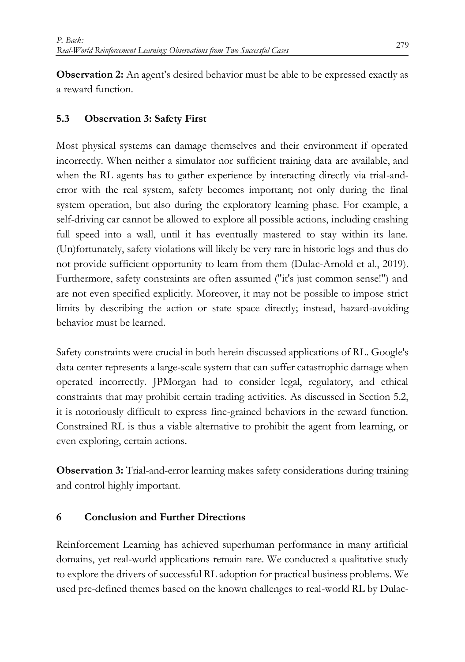**Observation 2:** An agent's desired behavior must be able to be expressed exactly as a reward function.

## **5.3 Observation 3: Safety First**

Most physical systems can damage themselves and their environment if operated incorrectly. When neither a simulator nor sufficient training data are available, and when the RL agents has to gather experience by interacting directly via trial-anderror with the real system, safety becomes important; not only during the final system operation, but also during the exploratory learning phase. For example, a self-driving car cannot be allowed to explore all possible actions, including crashing full speed into a wall, until it has eventually mastered to stay within its lane. (Un)fortunately, safety violations will likely be very rare in historic logs and thus do not provide sufficient opportunity to learn from them (Dulac-Arnold et al., 2019). Furthermore, safety constraints are often assumed ("it's just common sense!") and are not even specified explicitly. Moreover, it may not be possible to impose strict limits by describing the action or state space directly; instead, hazard-avoiding behavior must be learned.

Safety constraints were crucial in both herein discussed applications of RL. Google's data center represents a large-scale system that can suffer catastrophic damage when operated incorrectly. JPMorgan had to consider legal, regulatory, and ethical constraints that may prohibit certain trading activities. As discussed in Section 5.2, it is notoriously difficult to express fine-grained behaviors in the reward function. Constrained RL is thus a viable alternative to prohibit the agent from learning, or even exploring, certain actions.

**Observation 3:** Trial-and-error learning makes safety considerations during training and control highly important.

#### **6 Conclusion and Further Directions**

Reinforcement Learning has achieved superhuman performance in many artificial domains, yet real-world applications remain rare. We conducted a qualitative study to explore the drivers of successful RL adoption for practical business problems. We used pre-defined themes based on the known challenges to real-world RL by Dulac-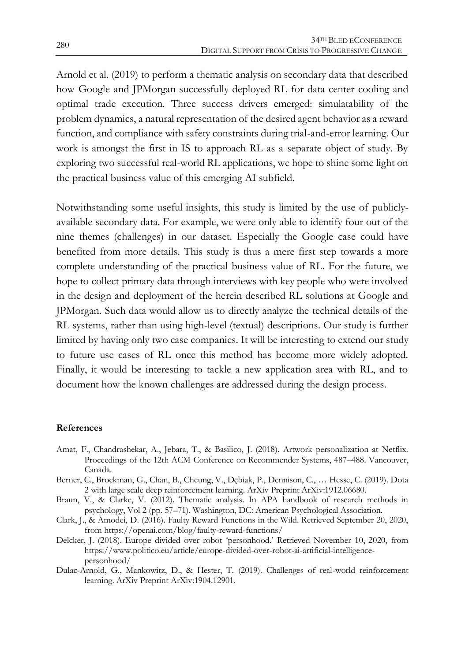Arnold et al. (2019) to perform a thematic analysis on secondary data that described how Google and JPMorgan successfully deployed RL for data center cooling and optimal trade execution. Three success drivers emerged: simulatability of the problem dynamics, a natural representation of the desired agent behavior as a reward function, and compliance with safety constraints during trial-and-error learning. Our work is amongst the first in IS to approach RL as a separate object of study. By exploring two successful real-world RL applications, we hope to shine some light on the practical business value of this emerging AI subfield.

Notwithstanding some useful insights, this study is limited by the use of publiclyavailable secondary data. For example, we were only able to identify four out of the nine themes (challenges) in our dataset. Especially the Google case could have benefited from more details. This study is thus a mere first step towards a more complete understanding of the practical business value of RL. For the future, we hope to collect primary data through interviews with key people who were involved in the design and deployment of the herein described RL solutions at Google and JPMorgan. Such data would allow us to directly analyze the technical details of the RL systems, rather than using high-level (textual) descriptions. Our study is further limited by having only two case companies. It will be interesting to extend our study to future use cases of RL once this method has become more widely adopted. Finally, it would be interesting to tackle a new application area with RL, and to document how the known challenges are addressed during the design process.

#### **References**

- Amat, F., Chandrashekar, A., Jebara, T., & Basilico, J. (2018). Artwork personalization at Netflix. Proceedings of the 12th ACM Conference on Recommender Systems, 487–488. Vancouver, Canada.
- Berner, C., Brockman, G., Chan, B., Cheung, V., Dębiak, P., Dennison, C., … Hesse, C. (2019). Dota 2 with large scale deep reinforcement learning. ArXiv Preprint ArXiv:1912.06680.
- Braun, V., & Clarke, V. (2012). Thematic analysis. In APA handbook of research methods in psychology, Vol 2 (pp. 57–71). Washington, DC: American Psychological Association.
- Clark, J., & Amodei, D. (2016). Faulty Reward Functions in the Wild. Retrieved September 20, 2020, from https://openai.com/blog/faulty-reward-functions/
- Delcker, J. (2018). Europe divided over robot 'personhood.' Retrieved November 10, 2020, from https://www.politico.eu/article/europe-divided-over-robot-ai-artificial-intelligencepersonhood/
- Dulac-Arnold, G., Mankowitz, D., & Hester, T. (2019). Challenges of real-world reinforcement learning. ArXiv Preprint ArXiv:1904.12901.